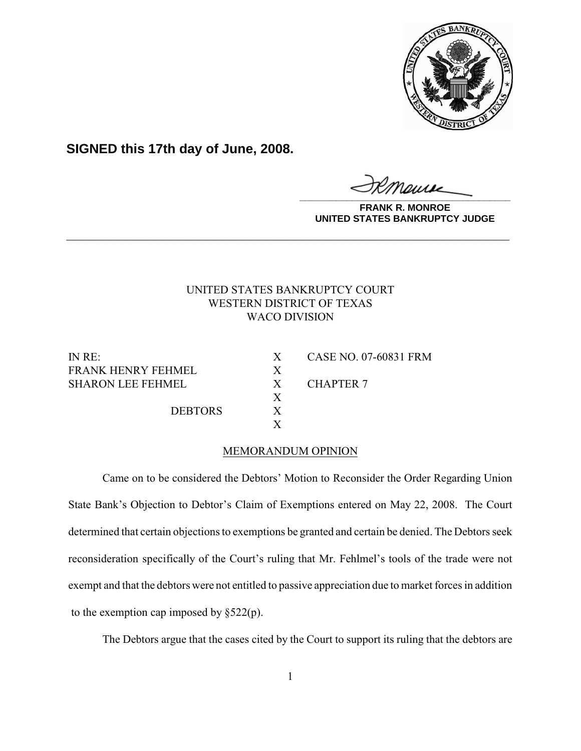

**SIGNED this 17th day of June, 2008.**

**\_\_\_\_\_\_\_\_\_\_\_\_\_\_\_\_\_\_\_\_\_\_\_\_\_\_\_\_\_\_\_\_\_\_\_\_\_\_\_\_**

**FRANK R. MONROE UNITED STATES BANKRUPTCY JUDGE**

## UNITED STATES BANKRUPTCY COURT WESTERN DISTRICT OF TEXAS WACO DIVISION

**\_\_\_\_\_\_\_\_\_\_\_\_\_\_\_\_\_\_\_\_\_\_\_\_\_\_\_\_\_\_\_\_\_\_\_\_\_\_\_\_\_\_\_\_\_\_\_\_\_\_\_\_\_\_\_\_\_\_\_\_**

FRANK HENRY FEHMEL X SHARON LEE FEHMEL X CHAPTER 7

DEBTORS X

IN RE: X CASE NO. 07-60831 FRM

## MEMORANDUM OPINION

X

X

Came on to be considered the Debtors' Motion to Reconsider the Order Regarding Union State Bank's Objection to Debtor's Claim of Exemptions entered on May 22, 2008. The Court determined that certain objections to exemptions be granted and certain be denied. The Debtors seek reconsideration specifically of the Court's ruling that Mr. Fehlmel's tools of the trade were not exempt and that the debtors were not entitled to passive appreciation due to market forces in addition to the exemption cap imposed by  $\S 522(p)$ .

The Debtors argue that the cases cited by the Court to support its ruling that the debtors are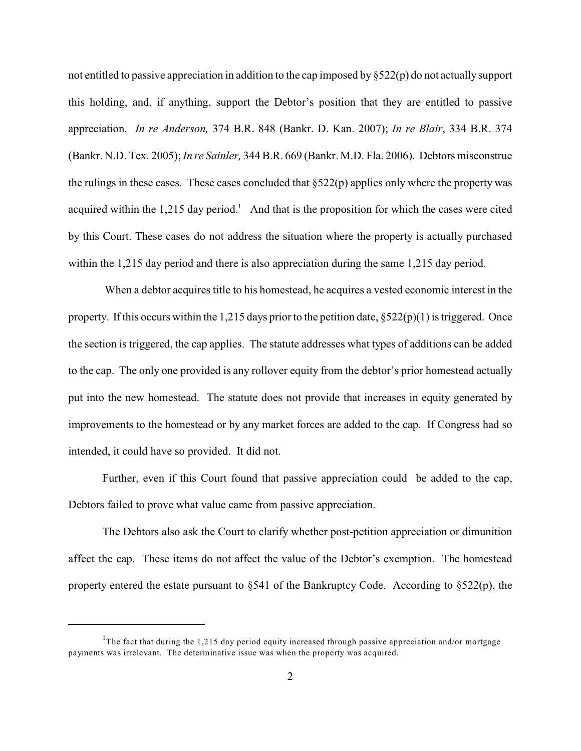not entitled to passive appreciation in addition to the cap imposed by §522(p) do not actually support this holding, and, if anything, support the Debtor's position that they are entitled to passive appreciation. *In re Anderson,* 374 B.R. 848 (Bankr. D. Kan. 2007); *In re Blair*, 334 B.R. 374 (Bankr. N.D. Tex. 2005);*In re Sainler,* 344 B.R. 669 (Bankr. M.D. Fla. 2006). Debtors misconstrue the rulings in these cases. These cases concluded that  $\S522(p)$  applies only where the property was acquired within the 1,215 day period.<sup>1</sup> And that is the proposition for which the cases were cited by this Court. These cases do not address the situation where the property is actually purchased within the 1,215 day period and there is also appreciation during the same 1,215 day period.

 When a debtor acquires title to his homestead, he acquires a vested economic interest in the property. If this occurs within the 1,215 days prior to the petition date,  $\S 522(p)(1)$  is triggered. Once the section is triggered, the cap applies. The statute addresses what types of additions can be added to the cap. The only one provided is any rollover equity from the debtor's prior homestead actually put into the new homestead. The statute does not provide that increases in equity generated by improvements to the homestead or by any market forces are added to the cap. If Congress had so intended, it could have so provided. It did not.

Further, even if this Court found that passive appreciation could be added to the cap, Debtors failed to prove what value came from passive appreciation.

The Debtors also ask the Court to clarify whether post-petition appreciation or dimunition affect the cap. These items do not affect the value of the Debtor's exemption. The homestead property entered the estate pursuant to §541 of the Bankruptcy Code. According to §522(p), the

<sup>&</sup>lt;sup>1</sup>The fact that during the 1,215 day period equity increased through passive appreciation and/or mortgage payments was irrelevant. The determinative issue was when the property was acquired.